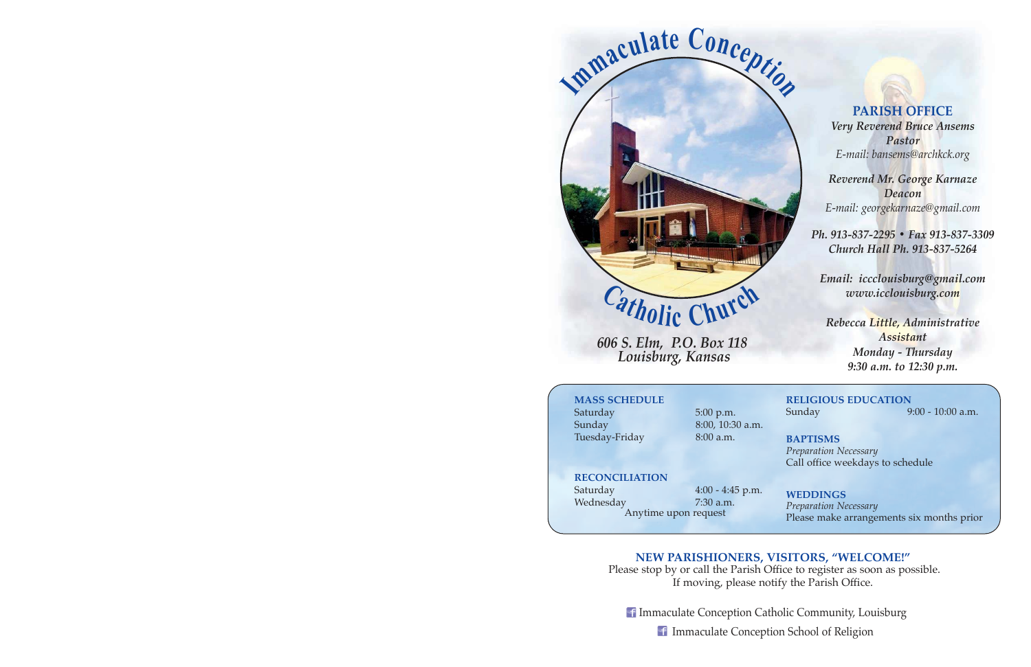

*606 S. Elm, P.O. Box 118 Louisburg, Kansas* 

**PARISH OFFICE**

*Very Reverend Bruce Ansems Pastor E-mail: bansems@archkck.org* 

*Reverend Mr. George Karnaze Deacon E-mail: georgekarnaze@gmail.com*

*Ph. 913-837-2295 ï Fax 913-837-3309 Church Hall Ph. 913-837-5264* 

*Email: iccclouisburg@gmail.com www.icclouisburg.com* 

*Rebecca Little, Administrative Assistant Monday - Thursday 9:30 a.m. to 12:30 p.m.* 

## **MASS SCHEDULE**

Saturday 5:00 p.m. Sunday 8:00, 10:30 a.m. Tuesday-Friday 8:00 a.m.

**RELIGIOUS EDUCATION** Sunday 9:00 - 10:00 a.m.

**BAPTISMS** *Preparation Necessary*  Call office weekdays to schedule

**RECONCILIATION**

Wednesday 7:30 a.m.

Saturday 4:00 - 4:45 p.m. Anytime upon request

**WEDDINGS** *Preparation Necessary*  Please make arrangements six months prior

# **NEW PARISHIONERS, VISITORS, "WELCOME!"**

 Please stop by or call the Parish Office to register as soon as possible. If moving, please notify the Parish Office.

**If Immaculate Conception Catholic Community, Louisburg** 

Immaculate Conception School of Religion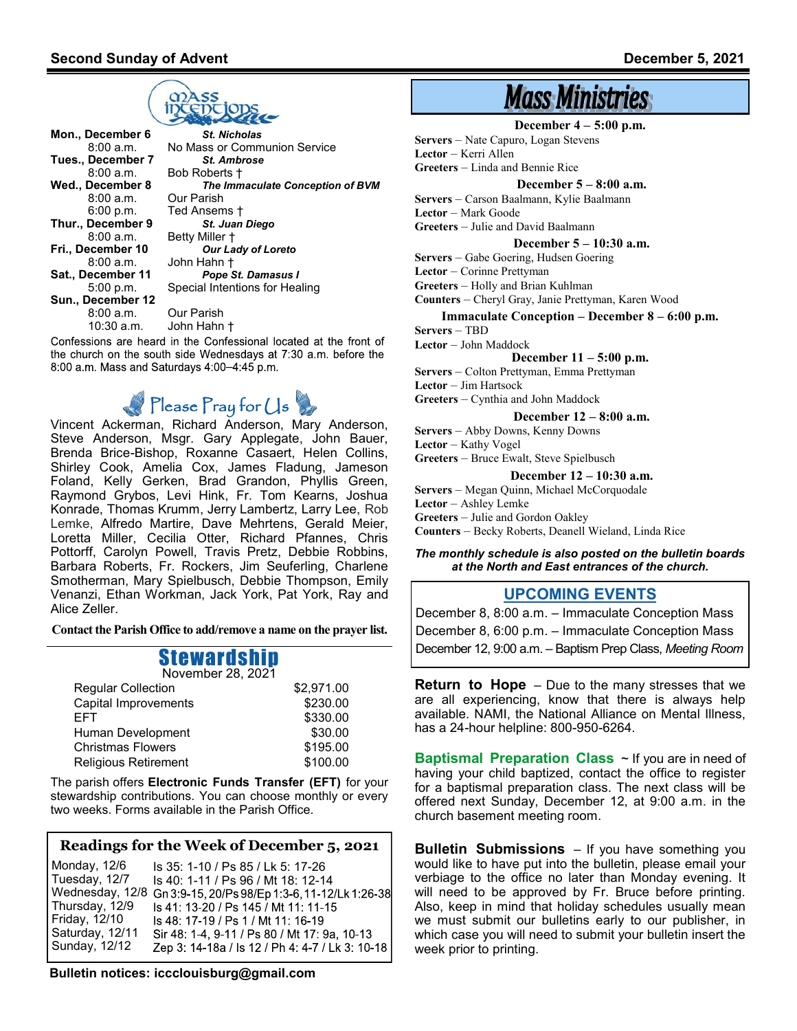

**Mon., December 6**<br>**8:00 a.m. No Mass or Comm** No Mass or Communion Service **Tues., December 7** *St. Ambrose* 8:00 a.m. Bob Roberts †<br>Wed., December 8 The Imm *Our Parish Dur Parish* 8:00 a.m.<br>6:00 p.m. Ted Ansems †<br>St. Juan Diego **Thur., December 9**<br>**8:00 a.m.** Betty Miller + **Fri., December 10** *Our Lady of Loreto* 8:00 a.m. John Hahn † **Sat., December 11** *Pope St. Damasus I* 5:00 p.m. Special Intentions for Healing **Sun., December 12**<br>8:00 a.m. **Our Parish** 10:30 a.m. John Hahn †

Confessions are heard in the Confessional located at the front of the church on the south side Wednesdays at 7:30 a.m. before the 8:00 a.m. Mass and Saturdays 4:00-4:45 p.m.

# $Please$   $\Gamma$ ray for  $\bigcup$ s

Vincent Ackerman, Richard Anderson, Mary Anderson, Steve Anderson, Msgr. Gary Applegate, John Bauer, Brenda Brice-Bishop, Roxanne Casaert, Helen Collins, Shirley Cook, Amelia Cox, James Fladung, Jameson Foland, Kelly Gerken, Brad Grandon, Phyllis Green, Raymond Grybos, Levi Hink, Fr. Tom Kearns, Joshua Konrade, Thomas Krumm, Jerry Lambertz, Larry Lee, Rob Lemke, Alfredo Martire, Dave Mehrtens, Gerald Meier, Loretta Miller, Cecilia Otter, Richard Pfannes, Chris Pottorff, Carolyn Powell, Travis Pretz, Debbie Robbins, Barbara Roberts, Fr. Rockers, Jim Seuferling, Charlene Smotherman, Mary Spielbusch, Debbie Thompson, Emily Venanzi, Ethan Workman, Jack York, Pat York, Ray and Alice Zeller.

**Contact the Parish Office to add/remove a name on the prayer list.**

#### Stewardship November 28, 2021

| <b>IVOIGHING LU, LUL I</b>  |            |
|-----------------------------|------------|
| <b>Regular Collection</b>   | \$2,971.00 |
| Capital Improvements        | \$230.00   |
| <b>FFT</b>                  | \$330.00   |
| Human Development           | \$30.00    |
| <b>Christmas Flowers</b>    | \$195.00   |
| <b>Religious Retirement</b> | \$100.00   |
|                             |            |

The parish offers **Electronic Funds Transfer (EFT)** for your stewardship contributions. You can choose monthly or every two weeks. Forms available in the Parish Office.

#### **Readings for the Week of December 5, 2021**

Monday, 12/6 Is 35: 1-10 / Ps 85 / Lk 5: 17-26 Tuesday, 12/7 Is 40: 1-11 / Ps 96 / Mt 18: 12-14 Wednesday, 12/8 Gn 3:9-15, 20/Ps 98/Ep 1:3-6, 11-12/Lk 1:26-38 Thursday, 12/9 Is 41: 13-20 / Ps 145 / Mt 11: 11-15 Friday, 12/10 Is 48: 17-19 / Ps 1 / Mt 11: 16-19 Saturday, 12/11 Sir 48: 1-4, 9-11 / Ps 80 / Mt 17: 9a, 10-13 Sunday, 12/12 Zep 3: 14-18a / ls 12 / Ph 4: 4-7 / Lk 3: 10-18

**Bulletin notices: iccclouisburg@gmail.com** 

# **Mass Ministries**

#### **December 4 – 5:00 p.m.**

**Servers** – Nate Capuro, Logan Stevens

**Lector** – Kerri Allen

**Greeters** – Linda and Bennie Rice

#### **December 5 – 8:00 a.m.**

**Servers** – Carson Baalmann, Kylie Baalmann **Lector** – Mark Goode **Greeters** – Julie and David Baalmann

**December 5 – 10:30 a.m.**

**Servers** – Gabe Goering, Hudsen Goering

**Lector** – Corinne Prettyman

**Greeters** – Holly and Brian Kuhlman

**Counters** – Cheryl Gray, Janie Prettyman, Karen Wood

#### **Immaculate Conception – December 8 – 6:00 p.m.**

**Servers** – TBD

**Lector** – John Maddock

**December 11 – 5:00 p.m.**

**Servers** – Colton Prettyman, Emma Prettyman **Lector** – Jim Hartsock

**Greeters** – Cynthia and John Maddock

#### **December 12 – 8:00 a.m.**

**Servers** – Abby Downs, Kenny Downs **Lector** – Kathy Vogel **Greeters** – Bruce Ewalt, Steve Spielbusch

**December 12 – 10:30 a.m.**

**Servers** – Megan Quinn, Michael McCorquodale **Lector** – Ashley Lemke

**Greeters** – Julie and Gordon Oakley

**Counters** – Becky Roberts, Deanell Wieland, Linda Rice

#### *The monthly schedule is also posted on the bulletin boards at the North and East entrances of the church.*

#### **UPCOMING EVENTS**

December 8, 8:00 a.m. – Immaculate Conception Mass December 8, 6:00 p.m. – Immaculate Conception Mass December 12, 9:00 a.m. – Baptism Prep Class, *Meeting Room*

**Return to Hope** – Due to the many stresses that we are all experiencing, know that there is always help available. NAMI, the National Alliance on Mental Illness, has a 24-hour helpline: 800-950-6264.

**Baptismal Preparation Class** ~ If you are in need of having your child baptized, contact the office to register for a baptismal preparation class. The next class will be offered next Sunday, December 12, at 9:00 a.m. in the church basement meeting room.

**Bulletin Submissions** – If you have something you would like to have put into the bulletin, please email your verbiage to the office no later than Monday evening. It will need to be approved by Fr. Bruce before printing. Also, keep in mind that holiday schedules usually mean we must submit our bulletins early to our publisher, in which case you will need to submit your bulletin insert the week prior to printing.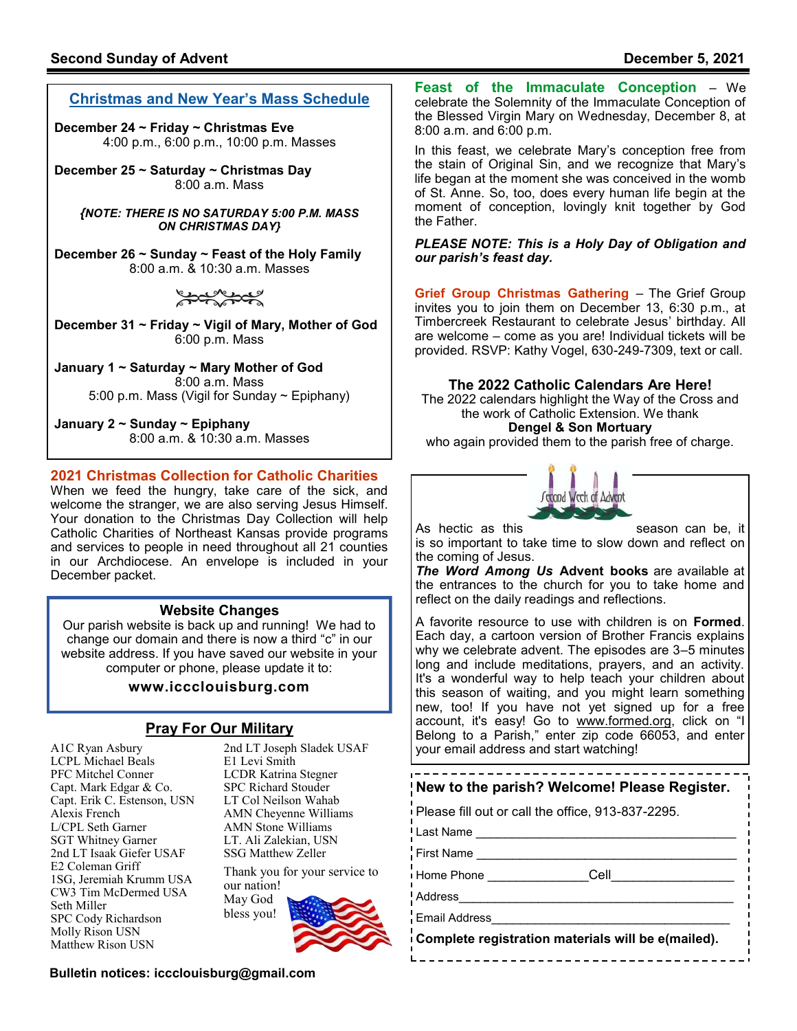# **Christmas and New Year's Mass Schedule**

**December 24 ~ Friday ~ Christmas Eve** 4:00 p.m., 6:00 p.m., 10:00 p.m. Masses

**December 25 ~ Saturday ~ Christmas Day** 8:00 a.m. Mass

*{NOTE: THERE IS NO SATURDAY 5:00 P.M. MASS ON CHRISTMAS DAY}*

**December 26 ~ Sunday ~ Feast of the Holy Family** 8:00 a.m. & 10:30 a.m. Masses

كمحركمحر

**December 31 ~ Friday ~ Vigil of Mary, Mother of God** 6:00 p.m. Mass

**January 1 ~ Saturday ~ Mary Mother of God** 8:00 a.m. Mass 5:00 p.m. Mass (Vigil for Sunday ~ Epiphany)

**January 2 ~ Sunday ~ Epiphany** 8:00 a.m. & 10:30 a.m. Masses

# **2021 Christmas Collection for Catholic Charities**

When we feed the hungry, take care of the sick, and welcome the stranger, we are also serving Jesus Himself. Your donation to the Christmas Day Collection will help Catholic Charities of Northeast Kansas provide programs and services to people in need throughout all 21 counties in our Archdiocese. An envelope is included in your December packet.

## **Website Changes**

Our parish website is back up and running! We had to change our domain and there is now a third "c" in our website address. If you have saved our website in your computer or phone, please update it to:

## **www.iccclouisburg.com**

# **Pray For Our Military**

A1C Ryan Asbury LCPL Michael Beals PFC Mitchel Conner Capt. Mark Edgar & Co. Capt. Erik C. Estenson, USN Alexis French L/CPL Seth Garner SGT Whitney Garner 2nd LT Isaak Giefer USAF E2 Coleman Griff 1SG, Jeremiah Krumm USA CW3 Tim McDermed USA Seth Miller SPC Cody Richardson Molly Rison USN Matthew Rison USN

2nd LT Joseph Sladek USAF E1 Levi Smith LCDR Katrina Stegner SPC Richard Stouder LT Col Neilson Wahab AMN Cheyenne Williams AMN Stone Williams LT. Ali Zalekian, USN SSG Matthew Zeller

Thank you for your service to our nation! May God bless you!



**Bulletin notices: iccclouisburg@gmail.com** 

**Feast of the Immaculate Conception** – We celebrate the Solemnity of the Immaculate Conception of the Blessed Virgin Mary on Wednesday, December 8, at 8:00 a.m. and 6:00 p.m.

In this feast, we celebrate Mary's conception free from the stain of Original Sin, and we recognize that Mary's life began at the moment she was conceived in the womb of St. Anne. So, too, does every human life begin at the moment of conception, lovingly knit together by God the Father.

#### *PLEASE NOTE: This is a Holy Day of Obligation and our parish's feast day.*

**Grief Group Christmas Gathering** – The Grief Group invites you to join them on December 13, 6:30 p.m., at Timbercreek Restaurant to celebrate Jesus' birthday. All are welcome – come as you are! Individual tickets will be provided. RSVP: Kathy Vogel, 630-249-7309, text or call.

#### **The 2022 Catholic Calendars Are Here!**

The 2022 calendars highlight the Way of the Cross and the work of Catholic Extension. We thank **Dengel & Son Mortuary**

who again provided them to the parish free of charge.



As hectic as this season can be, it

is so important to take time to slow down and reflect on the coming of Jesus.

*The Word Among Us* **Advent books** are available at the entrances to the church for you to take home and reflect on the daily readings and reflections.

A favorite resource to use with children is on **Formed**. Each day, a cartoon version of Brother Francis explains why we celebrate advent. The episodes are 3–5 minutes long and include meditations, prayers, and an activity. It's a wonderful way to help teach your children about this season of waiting, and you might learn something new, too! If you have not yet signed up for a free account, it's easy! Go to <u>www.formed.org</u>, click on "I Belong to a Parish," enter zip code 66053, and enter your email address and start watching!

#### ----------------------------------**New to the parish? Welcome! Please Register.**

Please fill out or call the office, 913-837-2295.

Last Name \_\_\_\_\_\_\_\_\_\_\_\_\_\_\_\_\_\_\_\_\_\_\_\_\_\_\_\_\_\_\_\_\_\_\_\_

First Name

Home Phone \_\_\_\_\_\_\_\_\_\_\_\_\_\_\_\_\_\_\_\_\_\_Cell

Address\_\_\_\_\_\_\_\_\_\_\_\_\_\_\_\_\_\_\_\_\_\_\_\_\_\_\_\_\_\_\_\_\_\_\_\_\_\_

Email Address\_\_\_\_\_\_\_\_\_\_\_\_\_\_\_\_\_\_\_\_\_\_\_\_\_\_\_\_\_\_\_\_\_

**Complete registration materials will be e(mailed).**